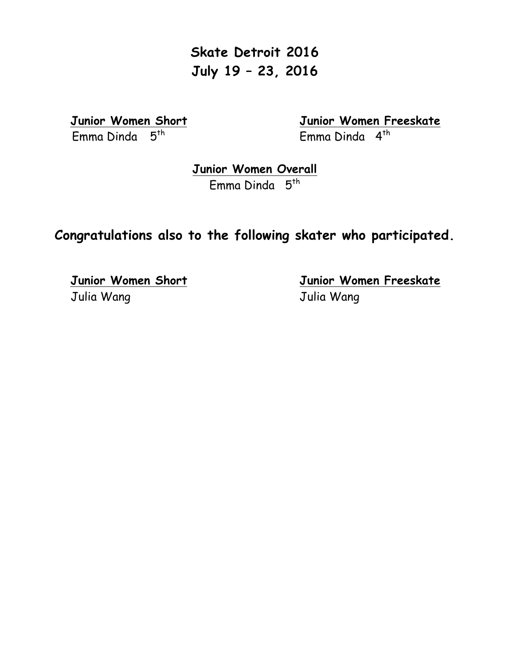**Skate Detroit 2016 July 19 – 23, 2016**

Emma Dinda 5<sup>th</sup>

 **Junior Women Short Junior Women Freeskate**

**Junior Women Overall**

Emma Dinda 5<sup>th</sup>

## **Congratulations also to the following skater who participated.**

Julia Wang Julia Wang

 **Junior Women Short Junior Women Freeskate**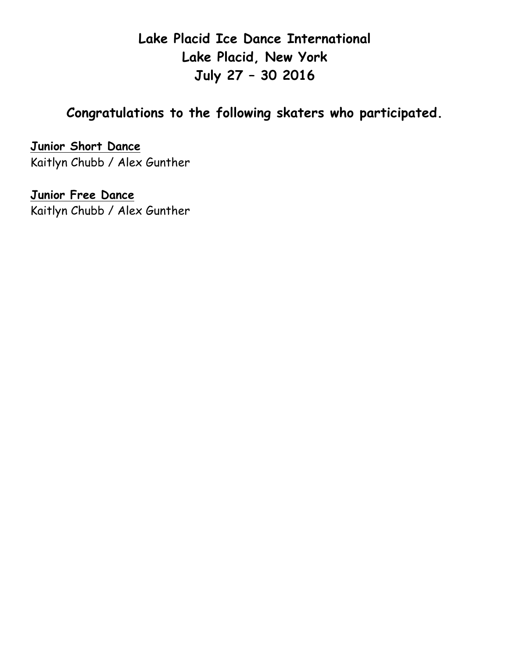**Lake Placid Ice Dance International Lake Placid, New York July 27 – 30 2016**

## **Congratulations to the following skaters who participated.**

**Junior Short Dance** Kaitlyn Chubb / Alex Gunther

**Junior Free Dance** Kaitlyn Chubb / Alex Gunther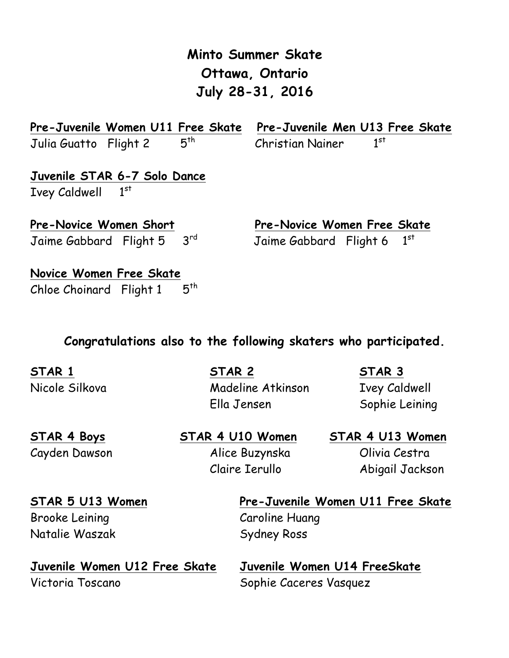| VIIUWA, VIIIUI IV<br>July 28-31, 2016     |                                            |  |  |
|-------------------------------------------|--------------------------------------------|--|--|
| Pre-Juvenile Women U11 Free Skate         | Pre-Juvenile Men U13 Free Skate            |  |  |
| $5^{th}$<br>Julia Guatto Flight 2         | 1 <sup>st</sup><br><b>Christian Nainer</b> |  |  |
| Juvenile STAR 6-7 Solo Dance              |                                            |  |  |
| Ivey Caldwell 1st                         |                                            |  |  |
| <b>Pre-Novice Women Short</b>             | Pre-Novice Women Free Skate                |  |  |
| 3 <sup>rd</sup><br>Jaime Gabbard Flight 5 | 1 <sup>st</sup><br>Jaime Gabbard Flight 6  |  |  |
| Novice Women Free Skate                   |                                            |  |  |
| $5^{th}$<br>Chloe Choinard Flight 1       |                                            |  |  |

**Minto Summer Skate**

**Ottawa, Ontario**

#### **Congratulations also to the following skaters who participated.**

**STAR 1 STAR 2 STAR 3** Nicole Silkova Madeline Atkinson Ivey Caldwell Ella Jensen Sophie Leining

Cayden Dawson Alice Buzynska Olivia Cestra

**STAR 4 Boys STAR 4 U10 Women STAR 4 U13 Women**

Claire Ierullo Abigail Jackson

Brooke Leining Caroline Huang Natalie Waszak Sydney Ross

**STAR 5 U13 Women Pre-Juvenile Women U11 Free Skate** 

**Juvenile Women U12 Free Skate Juvenile Women U14 FreeSkate**  Victoria Toscano Sophie Caceres Vasquez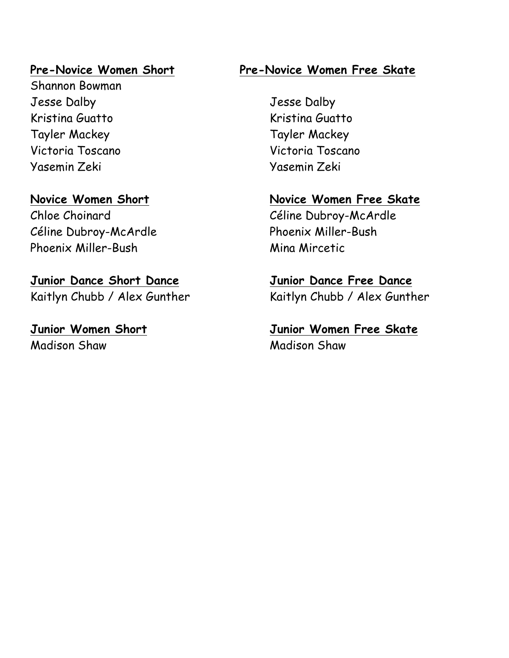Shannon Bowman Jesse Dalby Jesse Dalby Kristina Guatto **Kristina Guatto** Tayler Mackey Tayler Mackey Victoria Toscano Victoria Toscano Yasemin Zeki Yasemin Zeki

Céline Dubroy-McArdle Phoenix Miller-Bush Phoenix Miller-Bush Mina Mircetic

**Junior Dance Short Dance Junior Dance Free Dance** Kaitlyn Chubb / Alex Gunther Kaitlyn Chubb / Alex Gunther

Madison Shaw Madison Shaw

### **Pre-Novice Women Short Pre-Novice Women Free Skate**

# **Novice Women Short Novice Women Free Skate** Chloe Choinard Céline Dubroy-McArdle

**Junior Women Short Junior Women Free Skate**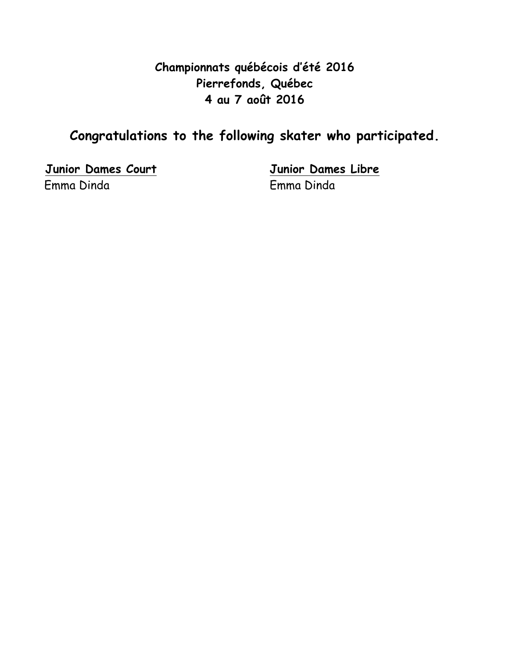### **Championnats québécois d'été 2016 Pierrefonds, Québec 4 au 7 août 2016**

# **Congratulations to the following skater who participated.**

**Junior Dames Court Junior Dames Libre** Emma Dinda Emma Dinda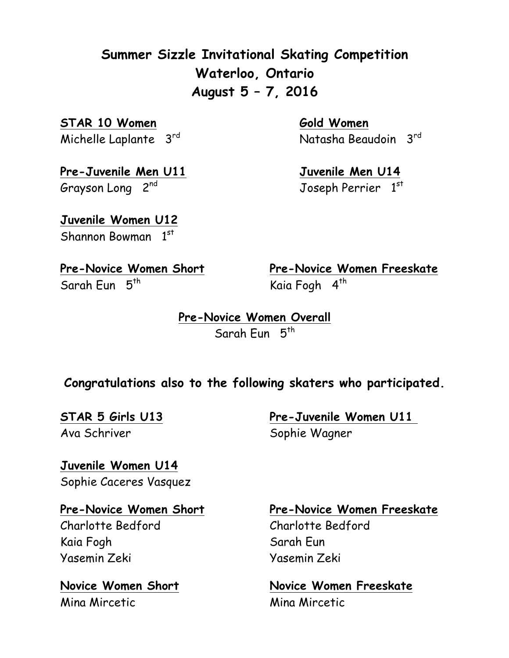**Summer Sizzle Invitational Skating Competition Waterloo, Ontario August 5 – 7, 2016**

**STAR 10 Women Gold Women** 

**Pre-Juvenile Men U11 Juvenile Men U14** Grayson Long 2<sup>nd</sup>

Michelle Laplante 3rd Natasha Beaudoin 3rd

Joseph Perrier 1st

**Juvenile Women U12** Shannon Bowman 1st

Sarah Eun 5<sup>th</sup> Kaia Fogh 4<sup>th</sup>

**Pre-Novice Women Short Pre-Novice Women Freeskate**

**Pre-Novice Women Overall** Sarah Eun 5<sup>th</sup>

### **Congratulations also to the following skaters who participated.**

Ava Schriver Sophie Wagner

**STAR 5 Girls U13 Pre-Juvenile Women U11** 

**Juvenile Women U14** Sophie Caceres Vasquez

Charlotte Bedford Charlotte Bedford Kaia Fogh Sarah Eun Yasemin Zeki Yasemin Zeki

Mina Mircetic Mina Mircetic

#### **Pre-Novice Women Short Pre-Novice Women Freeskate**

**Novice Women Short Novice Women Freeskate**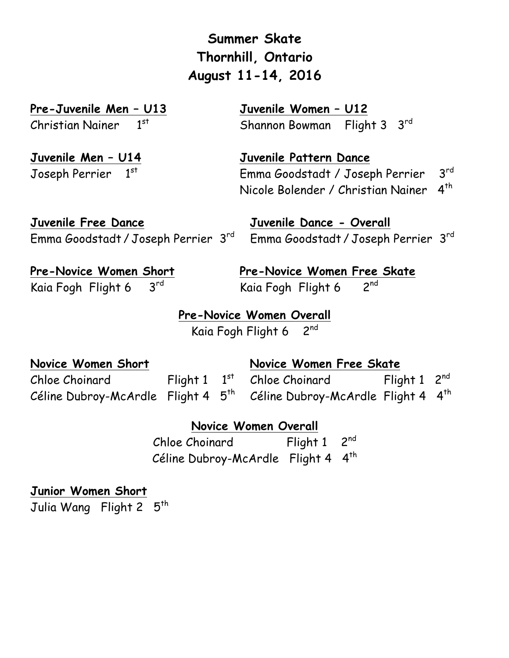**Summer Skate Thornhill, Ontario August 11-14, 2016**

**Pre-Juvenile Men – U13 Juvenile Women – U12**

Christian Nainer 1st Shannon Bowman Flight 3 3rd

**Juvenile Men – U14 Juvenile Pattern Dance**

Joseph Perrier 1st Emma Goodstadt / Joseph Perrier 3rd Nicole Bolender / Christian Nainer 4<sup>th</sup>

**Juvenile Free Dance Juvenile Dance - Overall**

Emma Goodstadt / Joseph Perrier 3rd Emma Goodstadt / Joseph Perrier 3rd

**Pre-Novice Women Short Pre-Novice Women Free Skate** Kaia Fogh Flight 6  $3^{rd}$  Kaia Fogh Flight 6  $2^{nd}$ 

**Pre-Novice Women Overall** Kaia Fogh Flight 6 2nd

**Novice Women Short Novice Women Free Skate** 

Chloe Choinard Flight 1  $1^{st}$  Chloe Choinard Flight 1  $2^{nd}$ Céline Dubroy-McArdle Flight 4 5<sup>th</sup> Céline Dubroy-McArdle Flight 4 4<sup>th</sup>

**Novice Women Overall**

Chloe Choinard Flight 1 2<sup>nd</sup> Céline Dubroy-McArdle Flight 4 4<sup>th</sup>

**Junior Women Short**

Julia Wang Flight 2 5<sup>th</sup>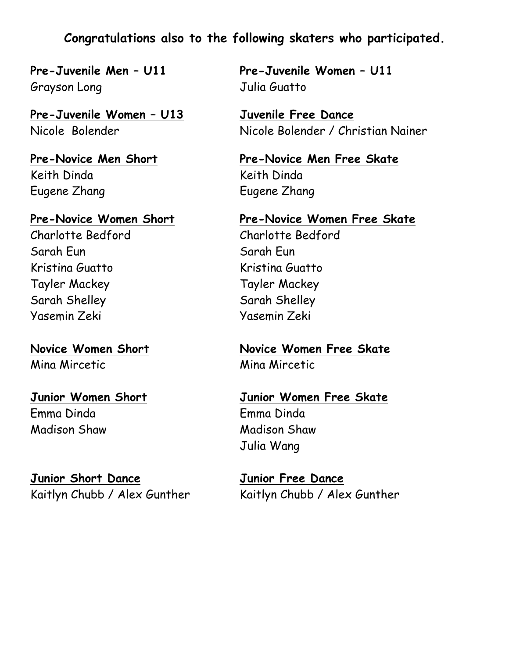**Congratulations also to the following skaters who participated.**

Grayson Long Grayson Long

**Pre-Juvenile Women – U13 Juvenile Free Dance**

Keith Dinda Keith Dinda Eugene Zhang Eugene Zhang

Charlotte Bedford Charlotte Bedford Sarah Eun Sarah Eun Kristina Guatto Kristina Guatto Tayler Mackey Tayler Mackey Sarah Shelley Sarah Shelley Yasemin Zeki Yasemin Zeki

Mina Mircetic Mina Mircetic

Emma Dinda Emma Dinda Madison Shaw Madison Shaw

**Junior Short Dance Junior Free Dance**

**Pre-Juvenile Men – U11 Pre-Juvenile Women – U11**

Nicole Bolender Nicole Bolender / Christian Nainer

**Pre-Novice Men Short Pre-Novice Men Free Skate**

**Pre-Novice Women Short Pre-Novice Women Free Skate**

**Novice Women Short Novice Women Free Skate**

**Junior Women Short Junior Women Free Skate** Julia Wang

Kaitlyn Chubb / Alex Gunther Kaitlyn Chubb / Alex Gunther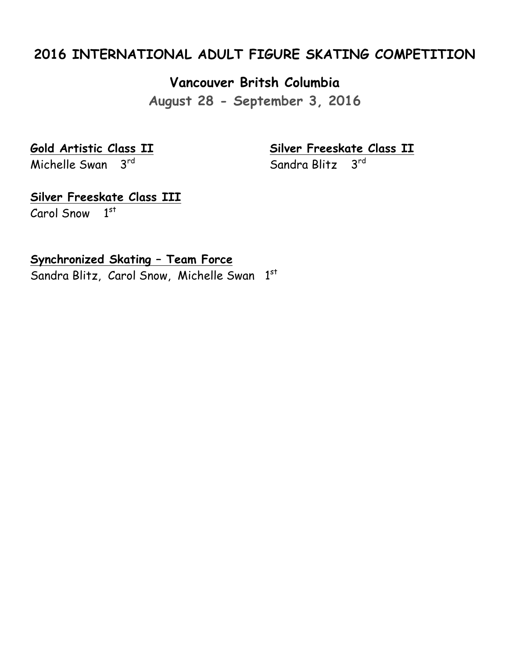### **2016 INTERNATIONAL ADULT FIGURE SKATING COMPETITION**

**Vancouver Britsh Columbia**

**August 28 - September 3, 2016**

Michelle Swan  $3<sup>rd</sup>$ 

**Gold Artistic Class II Silver Freeskate Class II**

**Silver Freeskate Class III**

Carol Snow 1st

**Synchronized Skating – Team Force**

Sandra Blitz, Carol Snow, Michelle Swan 1st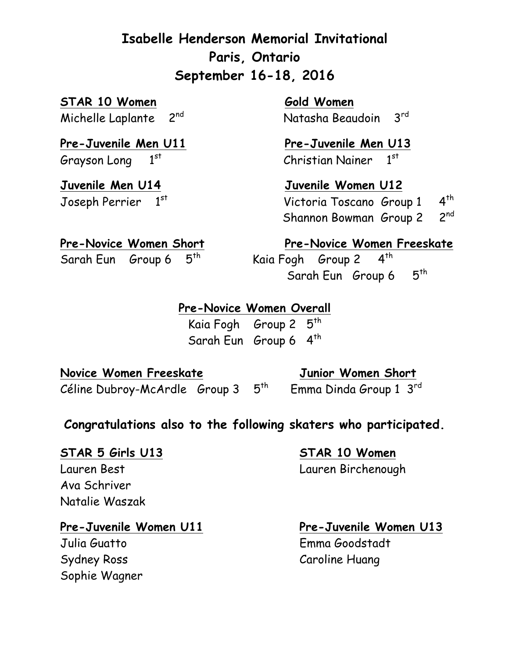# **Isabelle Henderson Memorial Invitational Paris, Ontario September 16-18, 2016**

**STAR 10 Women** Gold Women

Pre-Juvenile Men U11 Pre-Juvenile Men U13 Grayson Long  $1^{st}$  Christian Nainer  $1^{st}$ 

Michelle Laplante 2<sup>nd</sup> Natasha Beaudoin 3<sup>rd</sup>

**Juvenile Men U14 Juvenile Women U12** Joseph Perrier 1st Victoria Toscano Group 1 4<sup>th</sup> Shannon Bowman Group 2 2nd

Pre-Novice Women Short **Pre-Novice Women Freeskate** Sarah Eun Group 6  $5<sup>th</sup>$  Kaia Fogh Group 2  $4<sup>th</sup>$ Sarah Eun Group 6 5<sup>th</sup>

### **Pre-Novice Women Overall**

Kaia Fogh Group 2 5<sup>th</sup> Sarah Eun Group 6 4<sup>th</sup>

**Novice Women Freeskate Junior Women Short** Céline Dubroy-McArdle Group  $3\quad 5^{th}$  Emma Dinda Group 1  $3^{rd}$ 

### **Congratulations also to the following skaters who participated.**

#### **STAR 5 Girls U13 STAR 10 Women**

Lauren Best Lauren Birchenough Ava Schriver Natalie Waszak

#### Pre-Juvenile Women U11 Pre-Juvenile Women U13

Sydney Ross Caroline Huang Sophie Wagner

Julia Guatto Emma Goodstadt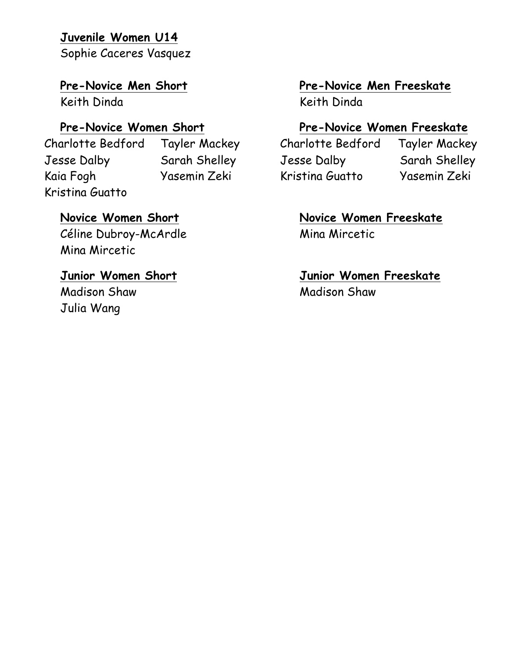#### **Juvenile Women U14**

Sophie Caceres Vasquez

 Jesse Dalby Sarah Shelley Jesse Dalby Sarah Shelley Kaia Fogh Yasemin Zeki Kristina Guatto Yasemin Zeki Kristina Guatto

Céline Dubroy-McArdle Mina Mircetic Mina Mircetic

Madison Shaw Madison Shaw Julia Wang

### **Pre-Novice Men Short Pre-Novice Men Freeskate**

Keith Dinda Keith Dinda

### Pre-Novice Women Short **Pre-Novice Women Freeskate**

Charlotte Bedford Tayler Mackey Charlotte Bedford Tayler Mackey

# **Novice Women Short Novice Women Freeskate**

# **Junior Women Short Junior Women Freeskate**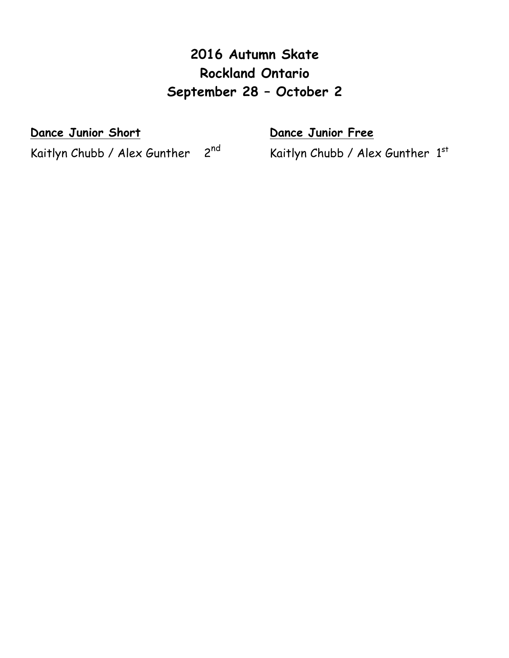# **2016 Autumn Skate Rockland Ontario September 28 – October 2**

**Dance Junior Short Community Contract Dance Junior Free** 

Kaitlyn Chubb / Alex Gunther 2<sup>nd</sup> Kaitlyn Chubb / Alex Gunther 1st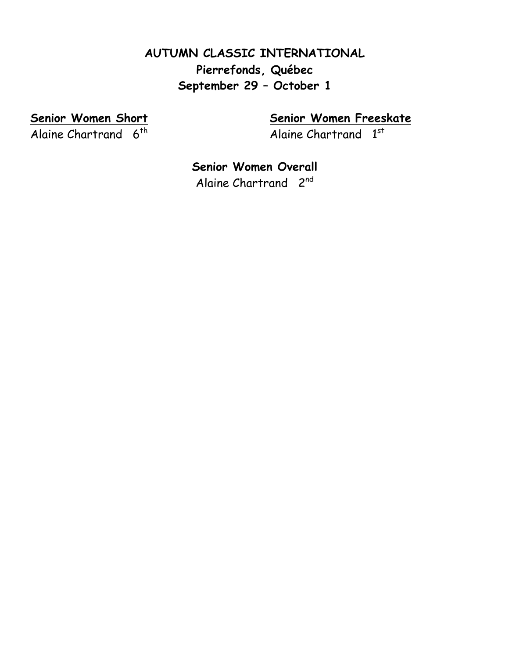### **AUTUMN CLASSIC INTERNATIONAL Pierrefonds, Québec September 29 – October 1**

Alaine Chartrand  $6<sup>th</sup>$  Alaine Chartrand  $1<sup>st</sup>$ 

**Senior Women Short Senior Women Freeskate**

### **Senior Women Overall**

Alaine Chartrand 2<sup>nd</sup>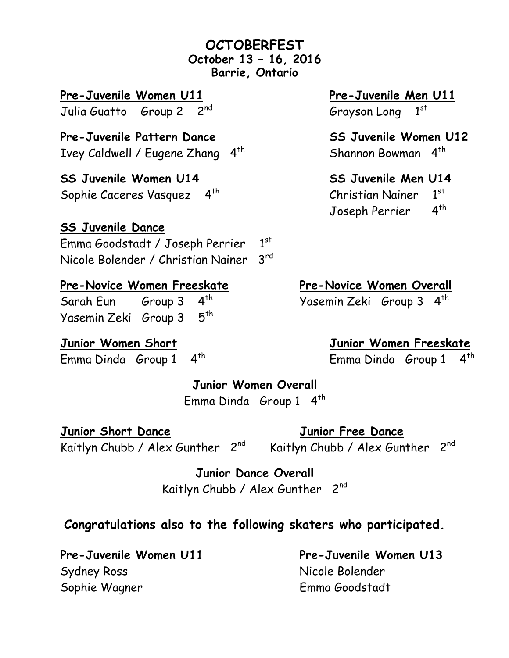#### **OCTOBERFEST October 13 – 16, 2016 Barrie, Ontario**

**Pre-Juvenile Women U11 Pre-Juvenile Men U11**

**Pre-Juvenile Pattern Dance SS Juvenile Women U12** Ivey Caldwell / Eugene Zhang  $4^{th}$  Shannon Bowman  $4^{th}$ 

**SS Juvenile Women U14 SS Juvenile Men U14** Sophie Caceres Vasquez  $4^{th}$  Christian Nainer  $1^{st}$ 

### **SS Juvenile Dance**

Emma Goodstadt / Joseph Perrier 1st Nicole Bolender / Christian Nainer 3rd

### **Pre-Novice Women Freeskate Pre-Novice Women Overall**

Sarah Eun Group 3 4<sup>th</sup> Yasemin Zeki Group 3 4<sup>th</sup> Yasemin Zeki Group 3 5th

Emma Dinda Group 1 4th Emma Dinda Group 1 4th

Julia Guatto Group 2 2<sup>nd</sup> Grayson Long 1<sup>st</sup>

Joseph Perrier 4<sup>th</sup>

**Junior Women Short Junior Women Freeskate**

**Junior Women Overall**

Emma Dinda Group 1 4<sup>th</sup>

**Junior Short Dance Junior Free Dance** Kaitlyn Chubb / Alex Gunther  $2^{nd}$  Kaitlyn Chubb / Alex Gunther  $2^{nd}$ 

**Junior Dance Overall**

Kaitlyn Chubb / Alex Gunther 2<sup>nd</sup>

### **Congratulations also to the following skaters who participated.**

Sydney Ross Nicole Bolender Sophie Wagner Emma Goodstadt

**Pre-Juvenile Women U11 Pre-Juvenile Women U13**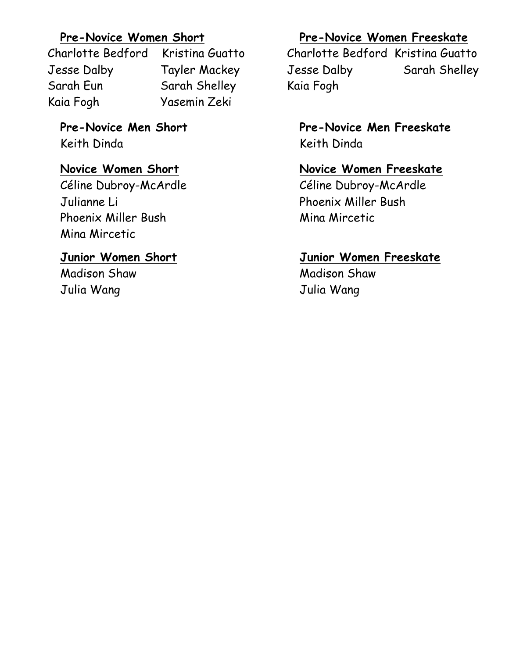Charlotte Bedford Kristina Guatto Charlotte Bedford Kristina Guatto Jesse Dalby Tayler Mackey Jesse Dalby Sarah Shelley Sarah Eun Sarah Shelley Kaia Fogh Kaia Fogh Yasemin Zeki

Keith Dinda Keith Dinda

Céline Dubroy-McArdle Céline Dubroy-McArdle Julianne Li Phoenix Miller Bush Phoenix Miller Bush Mina Mircetic Mina Mircetic

Madison Shaw Madison Shaw Julia Wang Julia Wang

### **Pre-Novice Women Short Pre-Novice Women Freeskate**

# **Pre-Novice Men Short Pre-Novice Men Freeskate**

### **Novice Women Short Novice Women Freeskate**

### **Junior Women Short Junior Women Freeskate**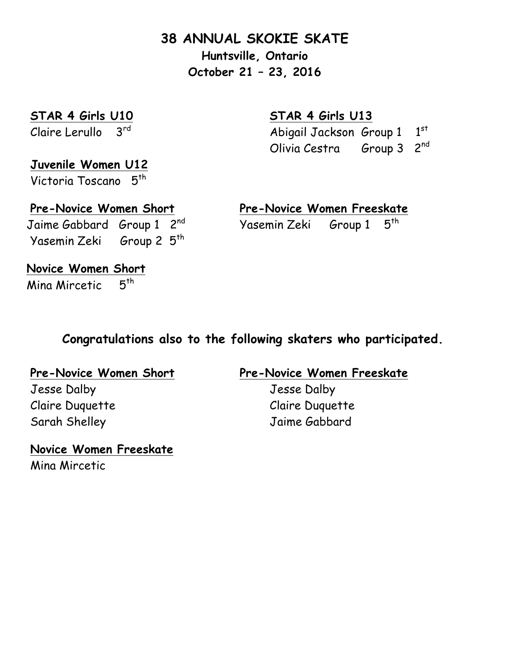### **38 ANNUAL SKOKIE SKATE**

**Huntsville, Ontario October 21 – 23, 2016**

**STAR 4 Girls U10 STAR 4 Girls U13**

Claire Lerullo  $3^{rd}$  Abigail Jackson Group 1  $1^{st}$ Olivia Cestra Group 3 2nd

# **Juvenile Women U12**

Victoria Toscano 5<sup>th</sup>

Yasemin Zeki Group 2 5th

### **Pre-Novice Women Short Pre-Novice Women Freeskate** Jaime Gabbard Group 1 2<sup>nd</sup> Yasemin Zeki Group 1 5<sup>th</sup>

**Novice Women Short** Mina Mircetic 5<sup>th</sup>

### **Congratulations also to the following skaters who participated.**

# Jesse Dalby Jesse Dalby

Claire Duquette Claire Duquette Sarah Shelley Jaime Gabbard

### **Novice Women Freeskate** Mina Mircetic

### **Pre-Novice Women Short Pre-Novice Women Freeskate**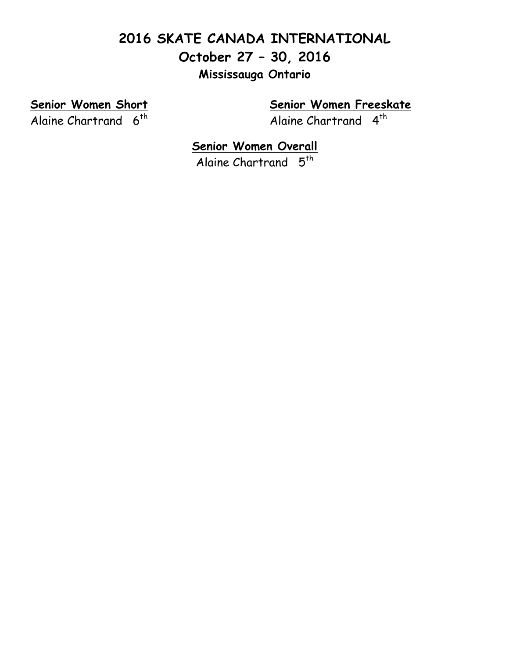# **2016 SKATE CANADA INTERNATIONAL October 27 – 30, 2016 Mississauga Ontario**

Alaine Chartrand 6<sup>th</sup> Alaine Chartrand 4<sup>th</sup>

**Senior Women Short Senior Women Freeskate**

**Senior Women Overall** Alaine Chartrand 5<sup>th</sup>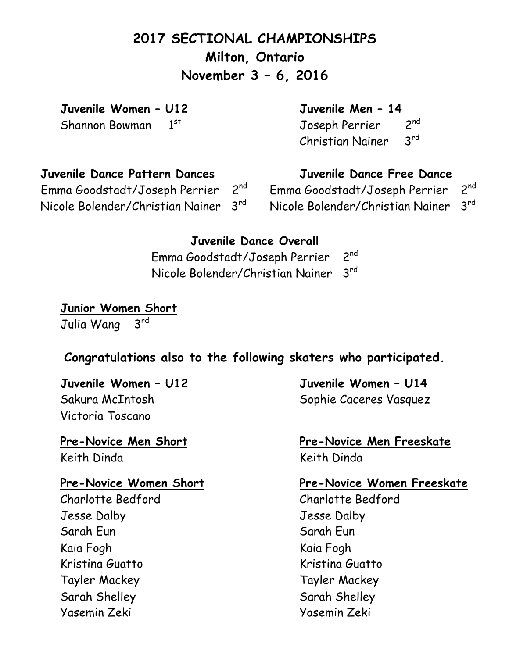# **2017 SECTIONAL CHAMPIONSHIPS Milton, Ontario November 3 – 6, 2016**

**Juvenile Women – U12 Juvenile Men – 14**

Shannon Bowman 1<sup>st</sup> Joseph Perrier 2<sup>nd</sup> Christian Nainer 3rd

## **Juvenile Dance Pattern Dances Juvenile Dance Free Dance**

Nicole Bolender/Christian Nainer 3rd Nicole Bolender/Christian Nainer 3rd

Emma Goodstadt/Joseph Perrier 2<sup>nd</sup> Emma Goodstadt/Joseph Perrier 2<sup>nd</sup>

### **Juvenile Dance Overall**

Emma Goodstadt/Joseph Perrier 2nd Nicole Bolender/Christian Nainer 3rd

#### **Junior Women Short** Julia Wang 3rd

### **Congratulations also to the following skaters who participated.**

Victoria Toscano

# **Keith Dinda** Keith Dinda

 Charlotte Bedford Charlotte Bedford Jesse Dalby Jesse Dalby Sarah Eun Sarah Eun Sarah Eun Kaia Fogh Kaia Fogh Kristina Guatto **Kristina Guatto**  Tayler Mackey Tayler Mackey Sarah Shelley Sarah Shelley Yasemin Zeki Yasemin Zeki

**Juvenile Women – U12 Juvenile Women – U14** Sakura McIntosh Sophie Caceres Vasquez

# **Pre-Novice Men Short Pre-Novice Men Freeskate**

#### **Pre-Novice Women Short Pre-Novice Women Freeskate**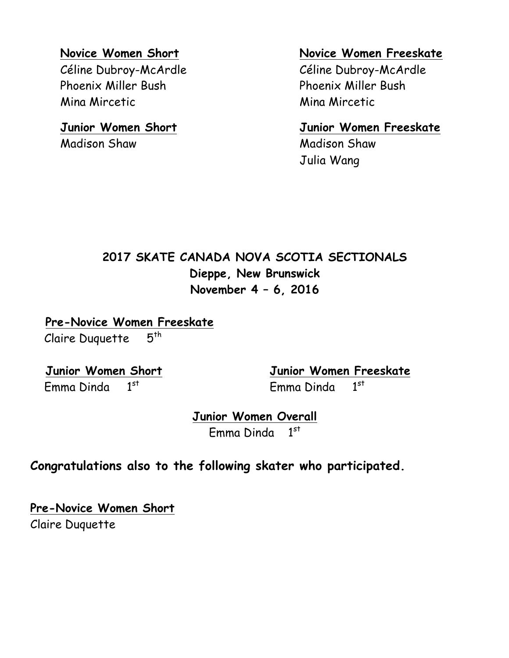Phoenix Miller Bush Phoenix Miller Bush Mina Mircetic Mina Mircetic

**Madison Shaw Madison Shaw** 

#### **Novice Women Short Novice Women Freeskate**

Céline Dubroy-McArdle Céline Dubroy-McArdle

#### **Junior Women Short Junior Women Freeskate**

Julia Wang

# **2017 SKATE CANADA NOVA SCOTIA SECTIONALS Dieppe, New Brunswick November 4 – 6, 2016**

 **Pre-Novice Women Freeskate** Claire Duquette  $5<sup>th</sup>$ 

Emma Dinda 1st Emma Dinda 1

 **Junior Women Short Junior Women Freeskate**  $1<sup>st</sup>$ 

> **Junior Women Overall** Emma Dinda 1st

### **Congratulations also to the following skater who participated.**

**Pre-Novice Women Short** Claire Duquette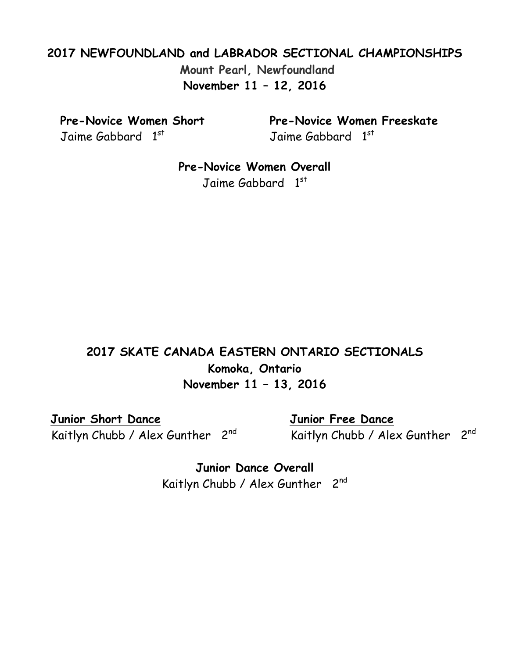### **2017 NEWFOUNDLAND and LABRADOR SECTIONAL CHAMPIONSHIPS Mount Pearl, Newfoundland November 11 – 12, 2016**

Jaime Gabbard 1st

**Pre-Novice Women Short Pre-Novice Women Freeskate**

Jaime Gabbard 1st

**Pre-Novice Women Overall**

Jaime Gabbard 1st

### **2017 SKATE CANADA EASTERN ONTARIO SECTIONALS Komoka, Ontario November 11 – 13, 2016**

 **Junior Short Dance Junior Free Dance**

Kaitlyn Chubb / Alex Gunther 2<sup>nd</sup> Kaitlyn Chubb / Alex Gunther 2<sup>nd</sup>

**Junior Dance Overall** Kaitlyn Chubb / Alex Gunther 2<sup>nd</sup>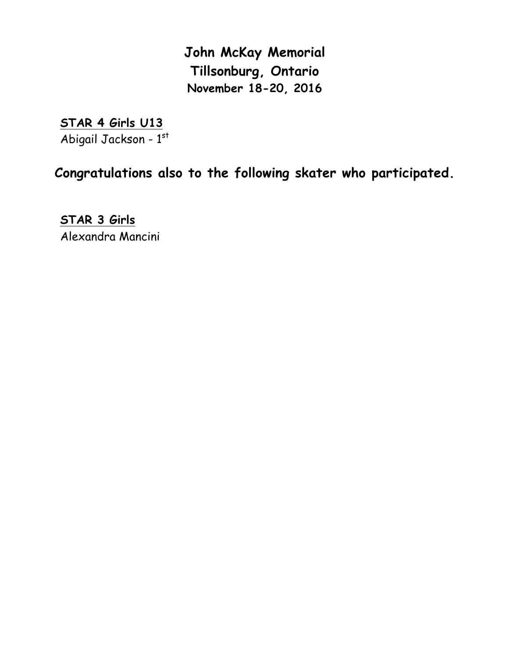**John McKay Memorial Tillsonburg, Ontario November 18-20, 2016**

**STAR 4 Girls U13** Abigail Jackson - 1st

**Congratulations also to the following skater who participated.**

**STAR 3 Girls** Alexandra Mancini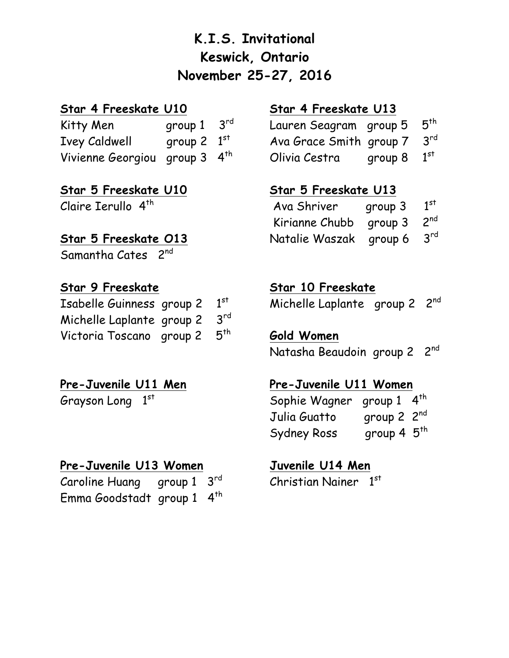# **K.I.S. Invitational Keswick, Ontario November 25-27, 2016**

### **Star 4 Freeskate U10 Star 4 Freeskate U13**

Kitty Men group  $1 \quad 3^{rd}$ Ivey Caldwell group 2  $1<sup>st</sup>$ Vivienne Georgiou group 3 4<sup>th</sup>

**Star 5 Freeskate U10 Star 5 Freeskate U13** Claire Ierullo  $4<sup>th</sup>$ 

### **Star 5 Freeskate 013**

Samantha Cates 2<sup>nd</sup>

| Isabelle Guinness group 2                | $1^{st}$ |
|------------------------------------------|----------|
| Michelle Laplante group 2 3rd            |          |
| Victoria Toscano group 2 5 <sup>th</sup> |          |

Grayson Long 1

### **Pre-Juvenile U13 Women Juvenile U14 Men**

| Caroline Huang group $1 \quad 3^{rd}$ |  | Christian Nainer $1^{st}$ |  |
|---------------------------------------|--|---------------------------|--|
| Emma Goodstadt group 1 4th            |  |                           |  |

| rd) | Lauren Seagram group 5  |                           | $5^{\sf th}$    |
|-----|-------------------------|---------------------------|-----------------|
| st  | Ava Grace Smith group 7 |                           | $3^{\text{rd}}$ |
| th. | Olivia Cestra           | group $8$ $1^\mathrm{st}$ |                 |

| Ava Shriver              | group 3 | 1 <sup>st</sup> |
|--------------------------|---------|-----------------|
| Kirianne Chubb           | group 3 | $2^{nd}$        |
| Natalie Waszak   group 6 |         | $3^{\text{rd}}$ |

### **Star 9 Freeskate Star 10 Freeskate**

Michelle Laplante group 2 2nd

Gold Women Natasha Beaudoin group 2 2nd

### **Pre-Juvenile U11 Men Pre-Juvenile U11 Women**

Sophie Wagner group 1 4<sup>th</sup> Julia Guatto group 2 2nd Sydney Ross group 4  $5<sup>th</sup>$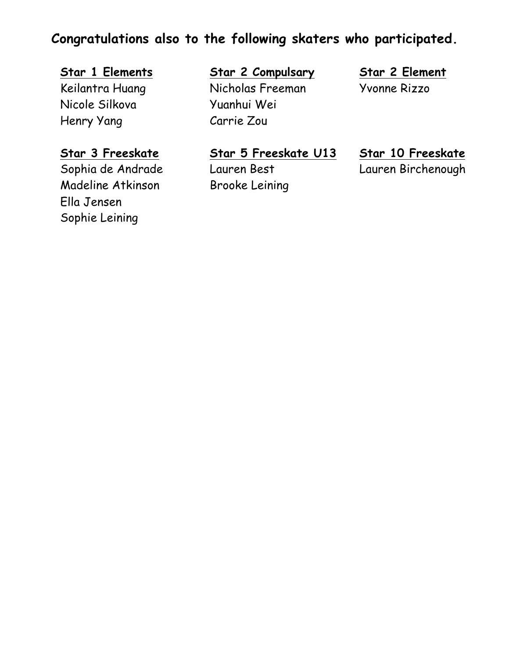## **Congratulations also to the following skaters who participated.**

Nicole Silkova Yuanhui Wei Henry Yang Carrie Zou

Madeline Atkinson Brooke Leining Ella Jensen Sophie Leining

### **Star 1 Elements Star 2 Compulsary Star 2 Element** Keilantra Huang Nicholas Freeman Yvonne Rizzo

**Star 3 Freeskate Star 5 Freeskate U13 Star 10 Freeskate** Sophia de Andrade Lauren Best Lauren Birchenough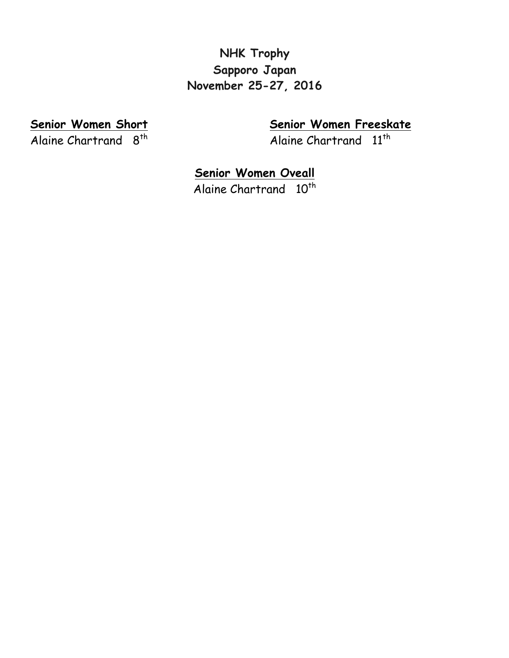### **NHK Trophy Sapporo Japan November 25-27, 2016**

Alaine Chartrand  $8^{th}$  Alaine Chartrand  $11^{th}$ 

**Senior Women Short Senior Women Freeskate**

**Senior Women Oveall**

Alaine Chartrand 10<sup>th</sup>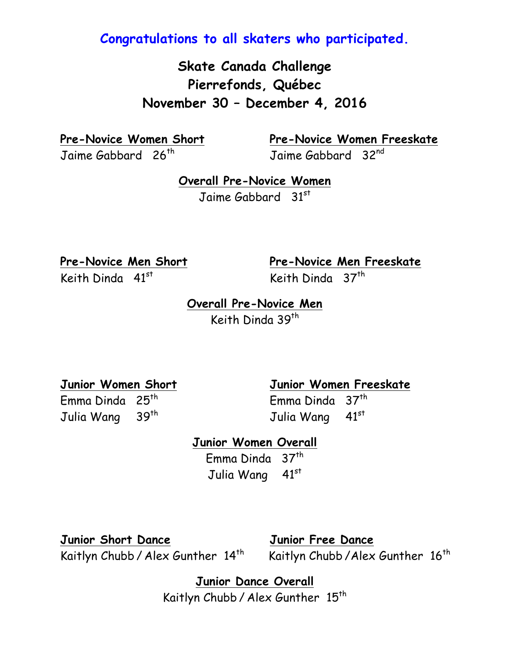**Congratulations to all skaters who participated.**

**Skate Canada Challenge Pierrefonds, Québec November 30 – December 4, 2016**

Jaime Gabbard 26<sup>th</sup> Jaime Gabbard 32<sup>nd</sup>

**Pre-Novice Women Short Pre-Novice Women Freeskate**

**Overall Pre-Novice Women** Jaime Gabbard 31<sup>st</sup>

Keith Dinda  $41^{st}$  Keith Dinda  $37^{th}$ 

**Pre-Novice Men Short Pre-Novice Men Freeskate**

**Overall Pre-Novice Men** Keith Dinda 39<sup>th</sup>

Julia Wang 39<sup>th</sup> Julia Wang 41<sup>st</sup>

**Junior Women Short Junior Women Freeskate**

Emma Dinda 25th Emma Dinda 37th

**Junior Women Overall**

Emma Dinda 37<sup>th</sup> Julia Wang 41st

**Junior Short Dance Junior Free Dance** Kaitlyn Chubb / Alex Gunther 14<sup>th</sup> Kaitlyn Chubb / Alex Gunther 16<sup>th</sup>

**Junior Dance Overall** Kaitlyn Chubb / Alex Gunther 15<sup>th</sup>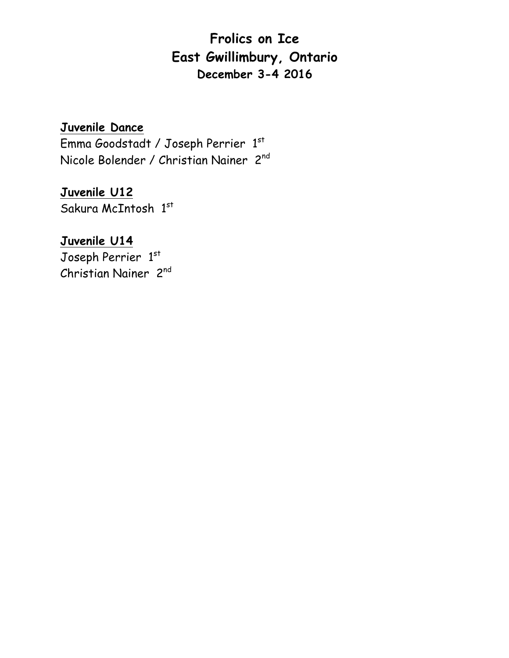# **Frolics on Ice East Gwillimbury, Ontario December 3-4 2016**

**Juvenile Dance**

Emma Goodstadt / Joseph Perrier 1 st Nicole Bolender / Christian Nainer 2nd

**Juvenile U12** Sakura McIntosh 1st

### **Juvenile U14**

Joseph Perrier 1st Christian Nainer 2nd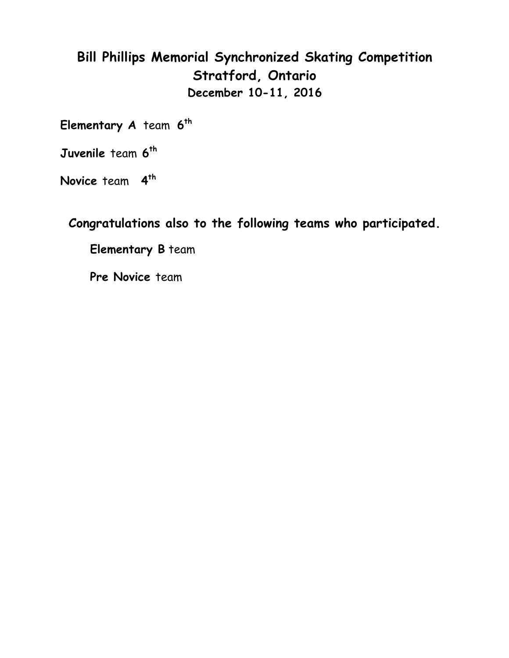# **Bill Phillips Memorial Synchronized Skating Competition Stratford, Ontario December 10-11, 2016**

**Elementary A** team **6th**

**Juvenile** team **6th**

**Novice** team **4th**

**Congratulations also to the following teams who participated.**

**Elementary B** team

**Pre Novice** team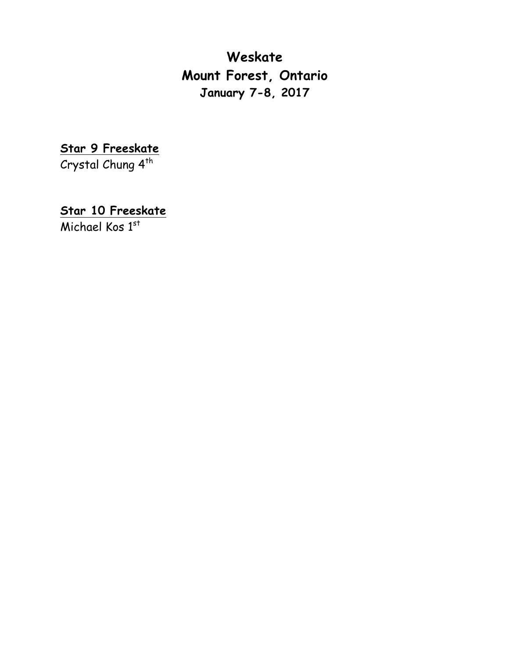**Weskate Mount Forest, Ontario January 7-8, 2017**

**Star 9 Freeskate** Crystal Chung 4<sup>th</sup>

**Star 10 Freeskate**

Michael Kos 1st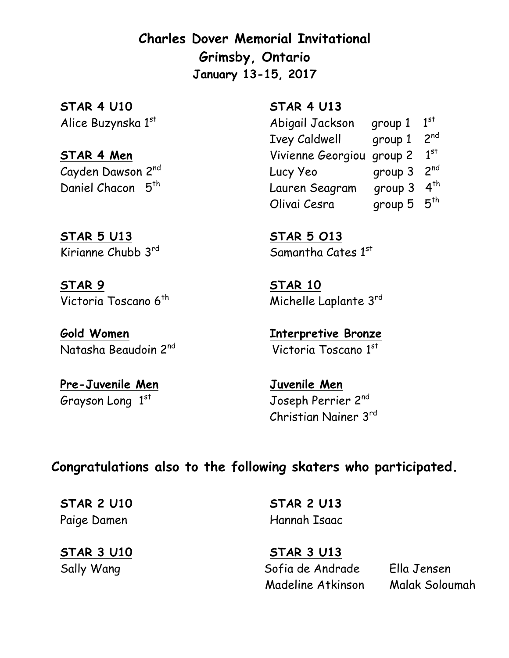**Charles Dover Memorial Invitational Grimsby, Ontario January 13-15, 2017**

**STAR 4 U10 STAR 4 U13** Alice Buzynska 1

**STAR 5 U13 STAR 5 O13**

**STAR 9 STAR 10**

**Gold Women Interpretive Bronze** Natasha Beaudoin 2<sup>nd</sup>

**Pre-Juvenile Men Juvenile Men** Grayson Long 1

Abigail Jackson group 1  $1<sup>st</sup>$ Ivey Caldwell group 1 2nd **STAR 4 Men** Vivienne Georgiou group 2 1 st Cayden Dawson 2<sup>nd</sup> **Lucy Yeo** group 3 2<sup>nd</sup> Daniel Chacon 5<sup>th</sup> Lauren Seagram group 3 4<sup>th</sup> Olivai Cesra group 5  $5<sup>th</sup>$ 

Kirianne Chubb  $3^{\text{rd}}$  Samantha Cates  $1^{\text{st}}$ 

Victoria Toscano 6<sup>th</sup> Michelle Laplante 3<sup>rd</sup>

Victoria Toscano 1st

Joseph Perrier 2nd Christian Nainer 3rd

**Congratulations also to the following skaters who participated.**

**STAR 3 U10 STAR 3 U13**

**STAR 2 U10 STAR 2 U13** Paige Damen Hannah Isaac

Sally Wang Sofia de Andrade Ella Jensen Madeline Atkinson Malak Soloumah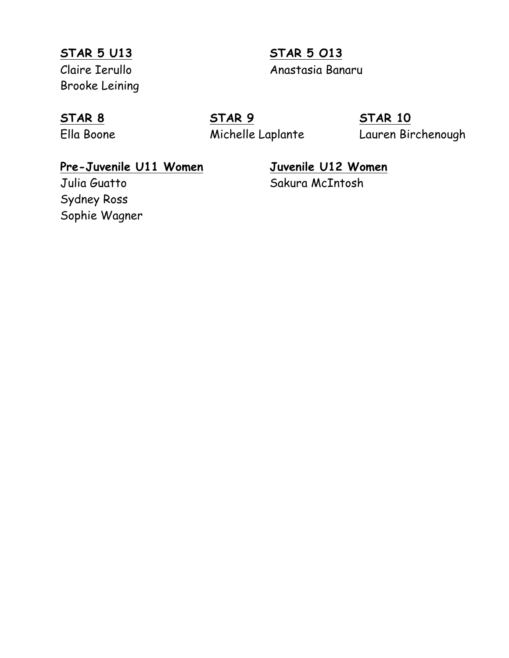**STAR 5 U13 STAR 5 O13** Brooke Leining

Claire Ierullo Anastasia Banaru

**STAR 8 STAR 9 STAR 10** Ella Boone Michelle Laplante Lauren Birchenough

### **Pre-Juvenile U11 Women Juvenile U12 Women**

# Julia Guatto Sakura McIntosh

Sydney Ross Sophie Wagner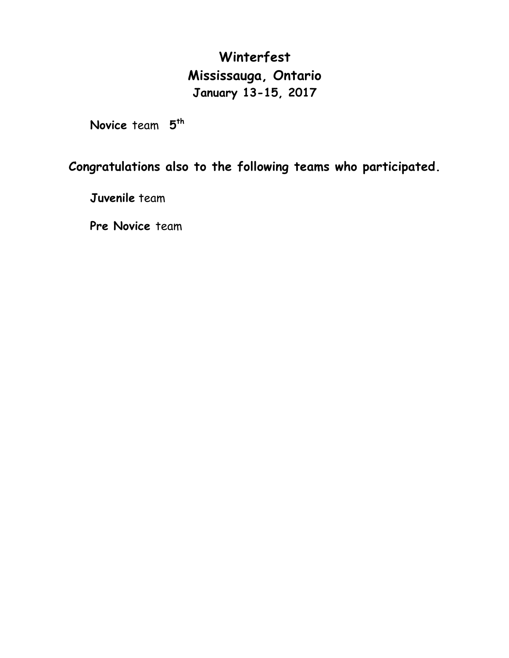# **Winterfest Mississauga, Ontario January 13-15, 2017**

**Novice** team **5th**

### **Congratulations also to the following teams who participated.**

**Juvenile** team

**Pre Novice** team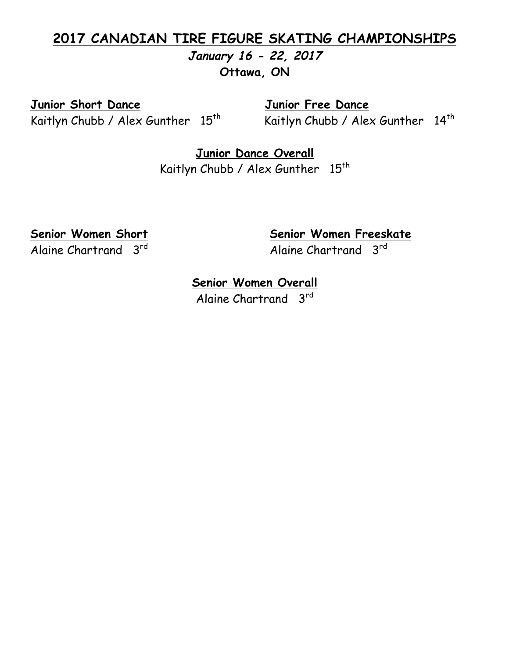### **2017 CANADIAN TIRE FIGURE SKATING CHAMPIONSHIPS January 16 - 22, 2017**

**Ottawa, ON**

**Junior Short Dance Junior Free Dance**

Kaitlyn Chubb / Alex Gunther  $15<sup>th</sup>$  Kaitlyn Chubb / Alex Gunther  $14<sup>th</sup>$ 

**Junior Dance Overall** Kaitlyn Chubb / Alex Gunther 15<sup>th</sup>

Alaine Chartrand 3<sup>rd</sup> Alaine Chartrand 3<sup>rd</sup>

**Senior Women Short Senior Women Freeskate**

### **Senior Women Overall**

Alaine Chartrand 3rd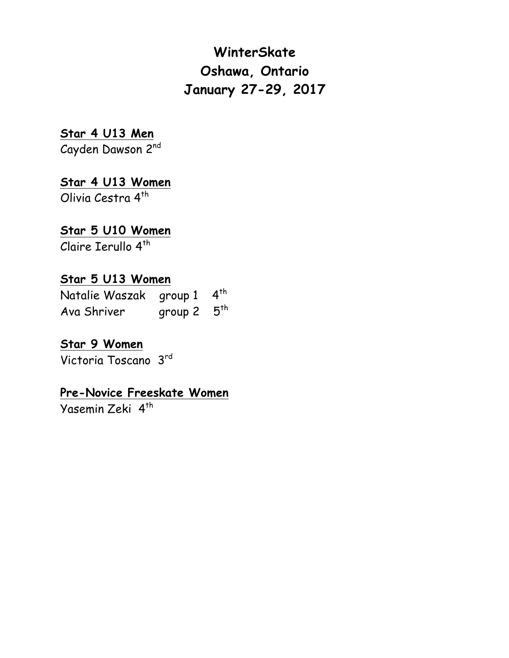# **WinterSkate Oshawa, Ontario January 27-29, 2017**

### **Star 4 U13 Men**

Cayden Dawson 2nd

# **Star 4 U13 Women**

Olivia Cestra 4<sup>th</sup>

### **Star 5 U10 Women**

Claire Ierullo 4<sup>th</sup>

### **Star 5 U13 Women**

Natalie Waszak group 1 4<sup>th</sup> Ava Shriver group 2  $5^{th}$ 

#### **Star 9 Women**

Victoria Toscano 3rd

#### **Pre-Novice Freeskate Women**

Yasemin Zeki 4<sup>th</sup>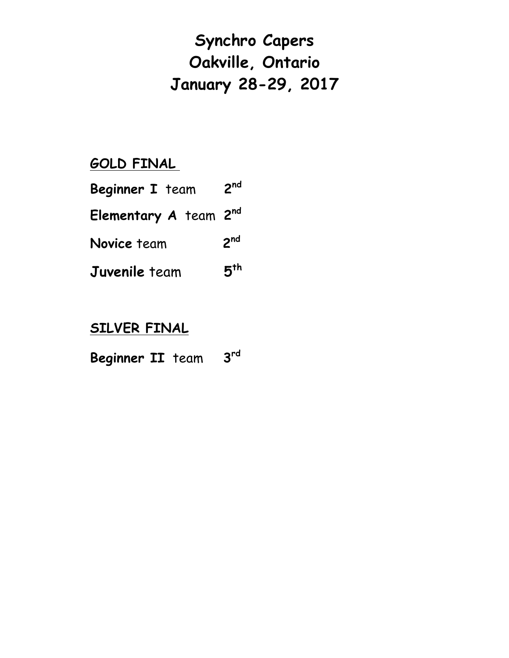# **Synchro Capers Oakville, Ontario January 28-29, 2017**

# **GOLD FINAL**

| <b>Beginner I</b> team            | 2 <sub>nd</sub> |
|-----------------------------------|-----------------|
| Elementary A team 2 <sup>nd</sup> |                 |
| Novice team                       | 2 <sup>nd</sup> |
| <b>Juvenile</b> team              | 5 <sup>th</sup> |

## **SILVER FINAL**

| Beginner II team |  |  | 3 <sup>rd</sup> |
|------------------|--|--|-----------------|
|------------------|--|--|-----------------|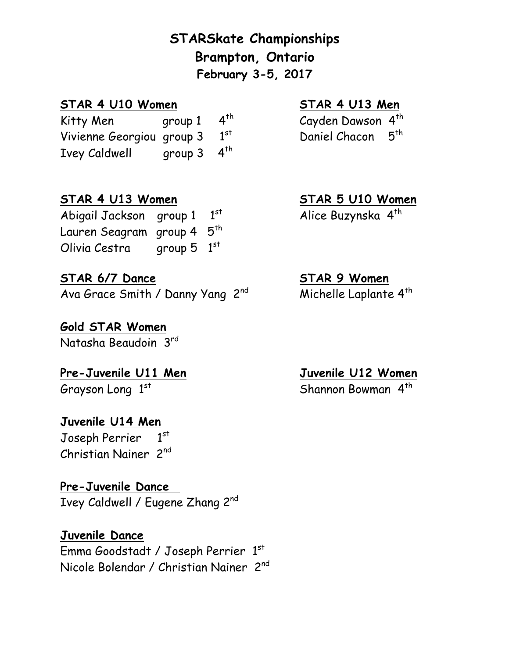**STARSkate Championships Brampton, Ontario February 3-5, 2017**

#### **STAR 4 U10 Women STAR 4 U13 Men**

Kitty Men group  $1 \quad 4^{th}$  Cayden Dawson  $4^{th}$ Vivienne Georgiou group 3 1st Ivey Caldwell group 3 4<sup>th</sup>

#### **STAR 4 U13 Women STAR 5 U10 Women**

Abigail Jackson group 1 1st Lauren Seagram group 4 5<sup>th</sup> Olivia Cestra group  $5 \t1<sup>st</sup>$ 

#### **STAR 6/7 Dance STAR 9 Women**

Ava Grace Smith / Danny Yang 2<sup>nd</sup> Michelle Laplante 4<sup>th</sup>

**Gold STAR Women** Natasha Beaudoin 3rd

**Pre-Juvenile U11 Men Juvenile U12 Women** Grayson Long 1

#### **Juvenile U14 Men**

Joseph Perrier 1  $1<sup>st</sup>$ Christian Nainer 2nd

#### **Pre-Juvenile Dance**

Ivey Caldwell / Eugene Zhang 2nd

#### **Juvenile Dance**

Emma Goodstadt / Joseph Perrier  $1^\mathrm{st}$ Nicole Bolendar / Christian Nainer 2nd

Daniel Chacon 5<sup>th</sup>

Alice Buzynska 4<sup>th</sup>

Shannon Bowman 4<sup>th</sup>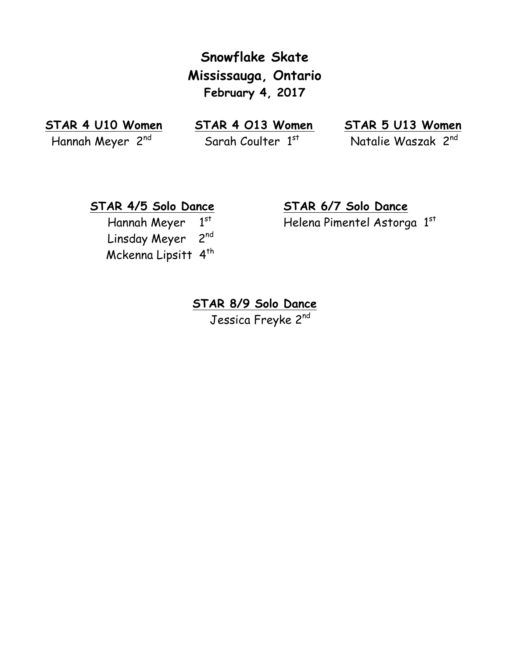**Snowflake Skate Mississauga, Ontario February 4, 2017**

**STAR 4 U10 Women STAR 4 O13 Women STAR 5 U13 Women** Hannah Meyer 2<sup>nd</sup> Sarah Coulter 1st

Natalie Waszak 2<sup>nd</sup>

Hannah Meyer 1st Linsday Meyer 2nd Mckenna Lipsitt 4<sup>th</sup>

**STAR 4/5 Solo Dance STAR 6/7 Solo Dance**  st Helena Pimentel Astorga 1 st

> **STAR 8/9 Solo Dance** Jessica Freyke 2nd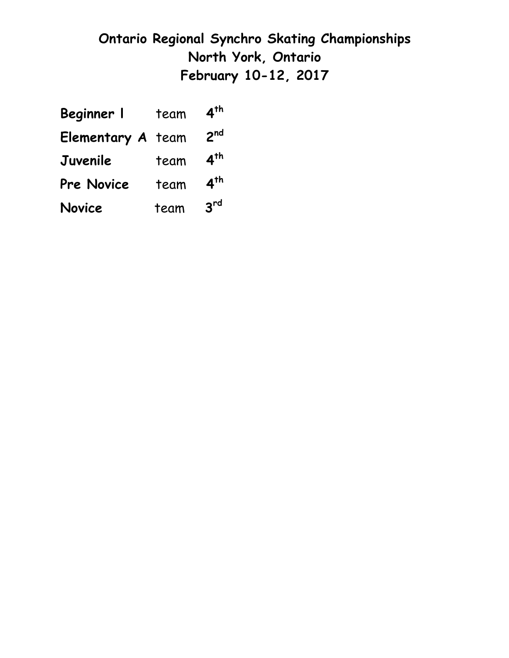# **Ontario Regional Synchro Skating Championships North York, Ontario February 10-12, 2017**

| Beginner I               | team | 4 <sup>th</sup> |
|--------------------------|------|-----------------|
| <b>Elementary A</b> team |      | 2 <sub>nd</sub> |
| Juvenile                 | team | 4 <sup>th</sup> |
| <b>Pre Novice</b>        | team | 4 <sup>th</sup> |
| Novice                   | team | 3 <sup>rd</sup> |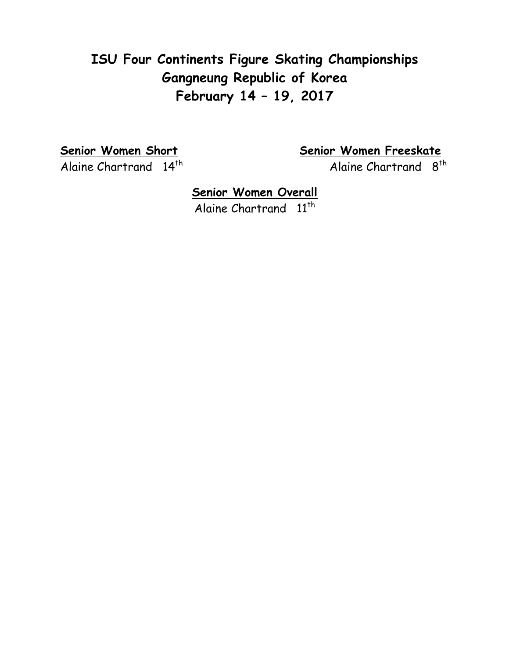# **ISU Four Continents Figure Skating Championships Gangneung Republic of Korea February 14 – 19, 2017**

**Senior Women Short Senior Women Freeskate** Alaine Chartrand 14<sup>th</sup> Alaine Chartrand 8<sup>th</sup>

> **Senior Women Overall** Alaine Chartrand 11<sup>th</sup>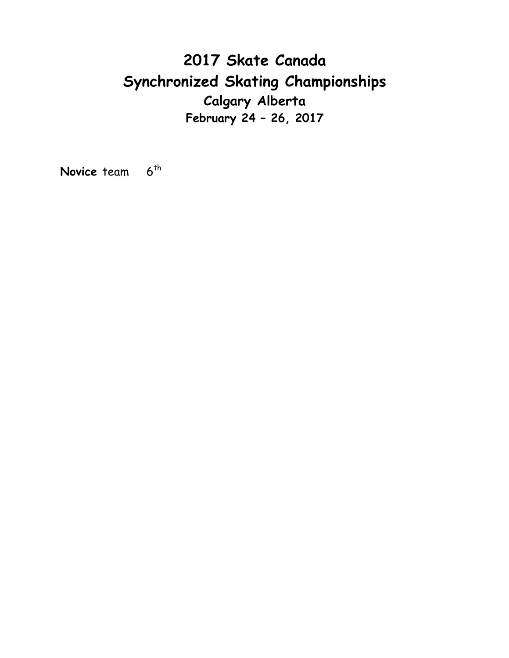# **2017 Skate Canada Synchronized Skating Championships Calgary Alberta February 24 – 26, 2017**

**Novice** team 6<sup>th</sup>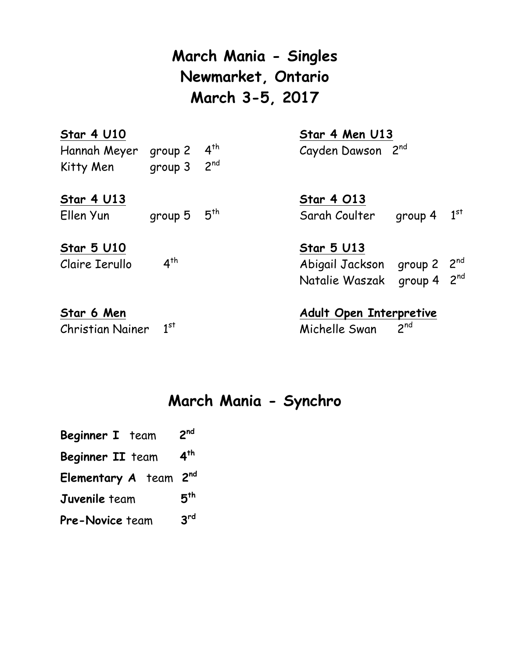**March Mania - Singles Newmarket, Ontario March 3-5, 2017**

| <b>Star 4 U10</b><br>Hannah Meyer<br>Kitty Men | group 2<br>group 3    | $4^{th}$<br>2 <sup>nd</sup> | Star 4 Men U13<br>Cayden Dawson 2nd                                                          |  |
|------------------------------------------------|-----------------------|-----------------------------|----------------------------------------------------------------------------------------------|--|
| <b>Star 4 U13</b><br>Ellen Yun                 | group $5\quad 5^{th}$ |                             | <b>Star 4 013</b><br>$1^\text{st}$<br>Sarah Coulter<br>group 4                               |  |
| <b>Star 5 U10</b><br>Claire Ierullo            | 4 <sup>th</sup>       |                             | <b>Star 5 U13</b><br>Abigail Jackson group 2 2nd<br>group $4 \cdot 2^{nd}$<br>Natalie Waszak |  |
| Star 6 Men<br><b>Christian Nainer</b>          | 1 <sup>st</sup>       |                             | <b>Adult Open Interpretive</b><br>$2^{nd}$<br>Michelle Swan                                  |  |

**March Mania - Synchro**

| Beginner I team | 2 <sup>nd</sup> |
|-----------------|-----------------|
|                 |                 |

- **Beginner II** team **4th**
- **Elementary A** team **2nd**
- **Juvenile** team **5th**
- **Pre-Novice** team **3rd**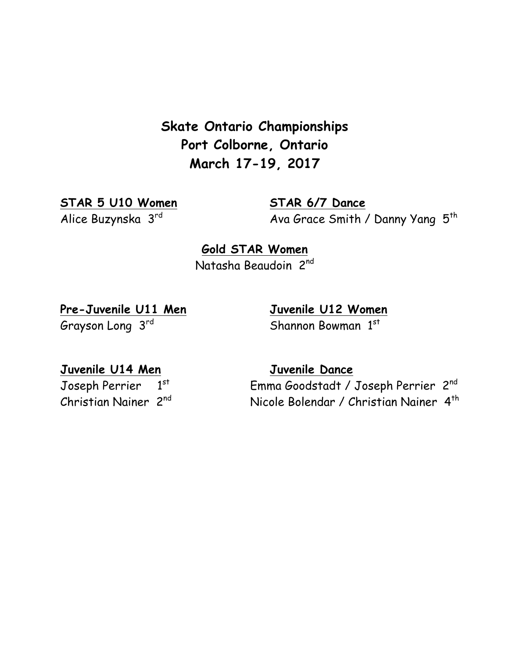**Skate Ontario Championships Port Colborne, Ontario March 17-19, 2017**

**STAR 5 U10 Women STAR 6/7 Dance**

Alice Buzynska 3rd Ava Grace Smith / Danny Yang 5<sup>th</sup>

**Gold STAR Women** Natasha Beaudoin 2nd

**Pre-Juvenile U11 Men Juvenile U12 Women Grayson Long 3rd** 

Shannon Bowman 1st

**Juvenile U14 Men Juvenile Dance**

Joseph Perrier 1st

Emma Goodstadt / Joseph Perrier 2nd Christian Nainer 2<sup>nd</sup> Nicole Bolendar / Christian Nainer 4<sup>th</sup>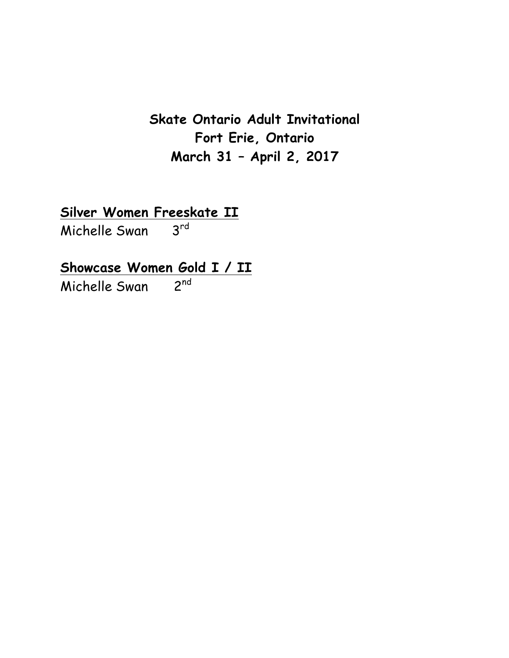**Skate Ontario Adult Invitational Fort Erie, Ontario March 31 – April 2, 2017**

**Silver Women Freeskate II**

Michelle Swan

**Showcase Women Gold I / II**

Michelle Swan 2nd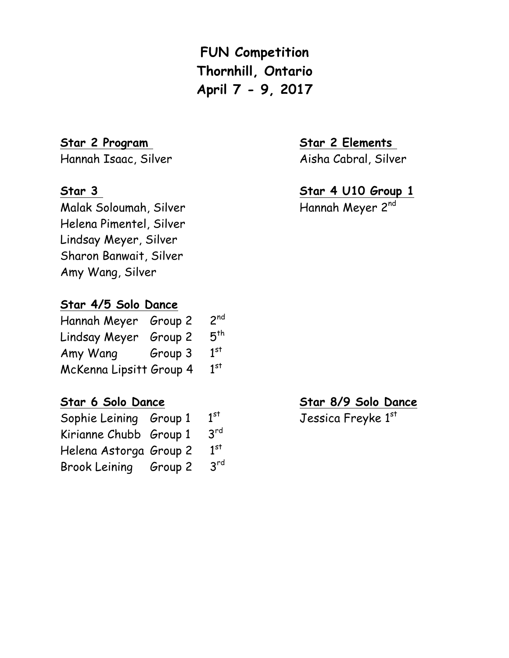**FUN Competition Thornhill, Ontario April 7 - 9, 2017**

#### **Star 2 Program Star 2 Elements**

Hannah Isaac, Silver Aisha Cabral, Silver

Malak Soloumah, Silver Hannah Meyer 2<sup>nd</sup> Helena Pimentel, Silver Lindsay Meyer, Silver Sharon Banwait, Silver Amy Wang, Silver

#### **Star 4/5 Solo Dance**

| Hannah Meyer Group 2    |         | 2 <sup>nd</sup> |
|-------------------------|---------|-----------------|
| Lindsay Meyer           | Group 2 | 5 <sup>th</sup> |
| Amy Wang                | Group 3 | 1 <sup>st</sup> |
| McKenna Lipsitt Group 4 |         | 1 <sup>st</sup> |

| Sophie Leining Group 1 |  | 1 <sup>st</sup> |
|------------------------|--|-----------------|
| Kirianne Chubb Group 1 |  | 3 <sup>rd</sup> |
| Helena Astorga Group 2 |  | 1 <sup>st</sup> |
| Brook Leining Group 2  |  | $3^{\text{rd}}$ |

#### **Star 3 Star 4 U10 Group 1**

#### **Star 6 Solo Dance Star 8/9 Solo Dance**

<sup>st</sup> Jessica Freyke 1<sup>st</sup>